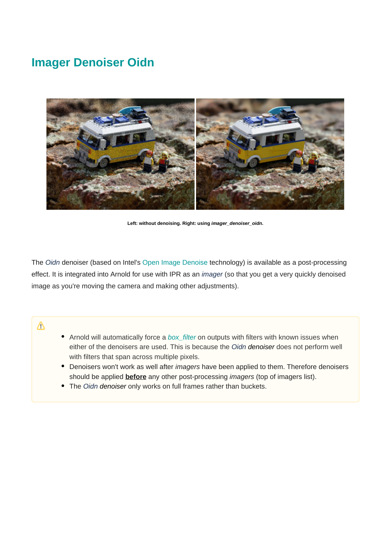# **Imager Denoiser Oidn**



**Left: without denoising. Right: using imager\_denoiser\_oidn.**

The Oidn denoiser (based on Intel's [Open Image Denoise](https://www.openimagedenoise.org/) technology) is available as a post-processing effect. It is integrated into Arnold for use with IPR as an imager (so that you get a very quickly denoised image as you're moving the camera and making other adjustments).

Δ

- Arnold will automatically force a [box\\_filter](https://docs.arnoldrenderer.com/display/A5NodeRef/box_filter) on outputs with filters with known issues when either of the denoisers are used. This is because the Oidn denoiser does not perform well with filters that span across multiple pixels.
- Denoisers won't work as well after *imagers* have been applied to them. Therefore denoisers should be applied **before** any other post-processing imagers (top of imagers list).
- The Oidn denoiser only works on full frames rather than buckets.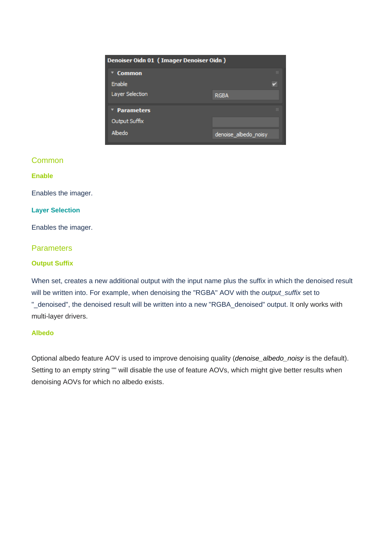| Denoiser Oidn 01 (Imager Denoiser Oidn) |                      |
|-----------------------------------------|----------------------|
| <b>Common</b>                           | m                    |
| Enable                                  |                      |
| Layer Selection                         | <b>RGBA</b>          |
| * Parameters                            | m                    |
| Output Suffix                           |                      |
| Albedo                                  | denoise albedo noisy |

### Common

#### **Enable**

Enables the imager.

#### **Layer Selection**

Enables the imager.

## **Parameters**

#### **Output Suffix**

When set, creates a new additional output with the input name plus the suffix in which the denoised result will be written into. For example, when denoising the "RGBA" AOV with the *output\_suffix* set to "\_denoised", the denoised result will be written into a new "RGBA\_denoised" output. It only works with multi-layer drivers.

#### **Albedo**

Optional albedo feature AOV is used to improve denoising quality (denoise\_albedo\_noisy is the default). Setting to an empty string "" will disable the use of feature AOVs, which might give better results when denoising AOVs for which no albedo exists.